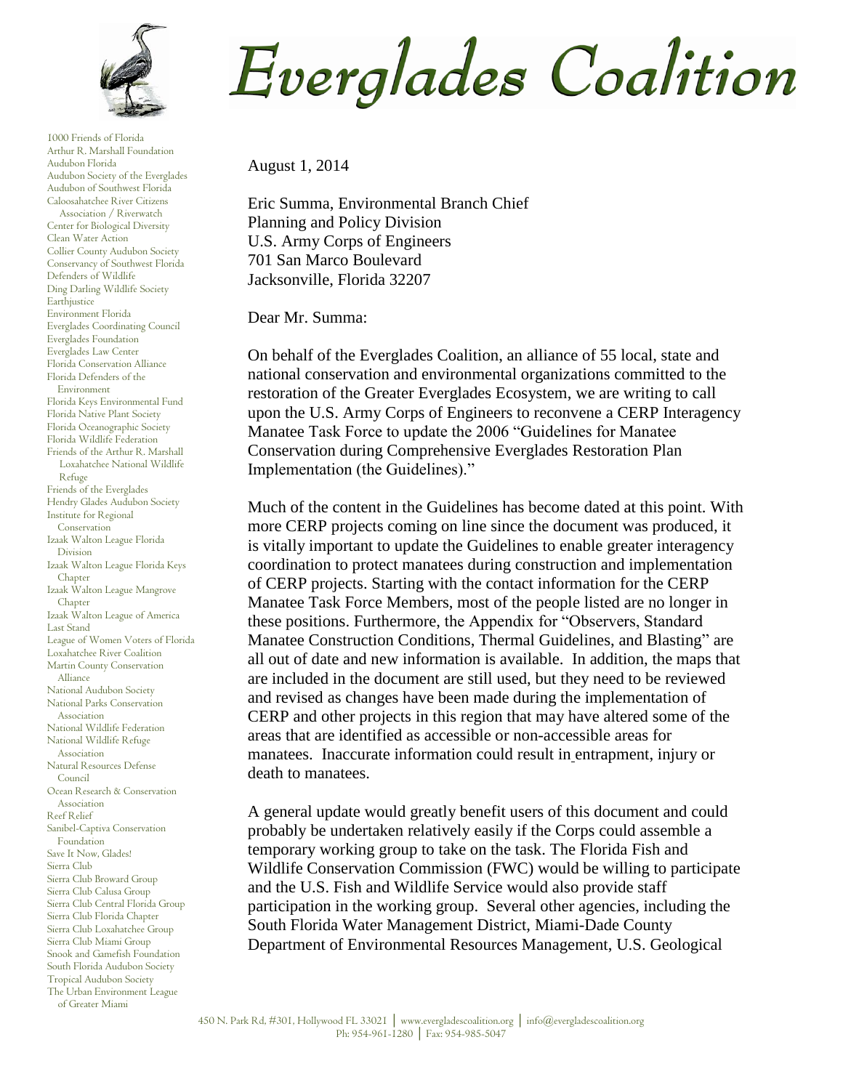

1000 Friends of Florida Arthur R. Marshall Foundation Audubon Florida Audubon Society of the Everglades Audubon of Southwest Florida Caloosahatchee River Citizens Association / Riverwatch Center for Biological Diversity Clean Water Action Collier County Audubon Society Conservancy of Southwest Florida Defenders of Wildlife Ding Darling Wildlife Society Earthjustice Environment Florida Everglades Coordinating Council Everglades Foundation Everglades Law Center Florida Conservation Alliance Florida Defenders of the Environment Florida Keys Environmental Fund Florida Native Plant Society Florida Oceanographic Society Florida Wildlife Federation Friends of the Arthur R. Marshall Loxahatchee National Wildlife Refuge Friends of the Everglades Hendry Glades Audubon Society Institute for Regional Conservation Izaak Walton League Florida Division Izaak Walton League Florida Keys Chapter Izaak Walton League Mangrove Chapter Izaak Walton League of America Last Stand League of Women Voters of Florida Loxahatchee River Coalition Martin County Conservation Alliance National Audubon Society National Parks Conservation Association National Wildlife Federation National Wildlife Refuge Association Natural Resources Defense Council Ocean Research & Conservation Association Reef Relief Sanibel-Captiva Conservation Foundation Save It Now, Glades! Sierra Club Sierra Club Broward Group Sierra Club Calusa Group Sierra Club Central Florida Group Sierra Club Florida Chapter Sierra Club Loxahatchee Group Sierra Club Miami Group Snook and Gamefish Foundation South Florida Audubon Society Tropical Audubon Society The Urban Environment League of Greater Miami

## Everglades Coalition

August 1, 2014

Eric Summa, Environmental Branch Chief Planning and Policy Division U.S. Army Corps of Engineers 701 San Marco Boulevard Jacksonville, Florida 32207

Dear Mr. Summa:

On behalf of the Everglades Coalition, an alliance of 55 local, state and national conservation and environmental organizations committed to the restoration of the Greater Everglades Ecosystem, we are writing to call upon the U.S. Army Corps of Engineers to reconvene a CERP Interagency Manatee Task Force to update the 2006 "Guidelines for Manatee Conservation during Comprehensive Everglades Restoration Plan Implementation (the Guidelines)."

Much of the content in the Guidelines has become dated at this point. With more CERP projects coming on line since the document was produced, it is vitally important to update the Guidelines to enable greater interagency coordination to protect manatees during construction and implementation of CERP projects. Starting with the contact information for the CERP Manatee Task Force Members, most of the people listed are no longer in these positions. Furthermore, the Appendix for "Observers, Standard Manatee Construction Conditions, Thermal Guidelines, and Blasting" are all out of date and new information is available. In addition, the maps that are included in the document are still used, but they need to be reviewed and revised as changes have been made during the implementation of CERP and other projects in this region that may have altered some of the areas that are identified as accessible or non-accessible areas for manatees. Inaccurate information could result in entrapment, injury or death to manatees.

A general update would greatly benefit users of this document and could probably be undertaken relatively easily if the Corps could assemble a temporary working group to take on the task. The Florida Fish and Wildlife Conservation Commission (FWC) would be willing to participate and the U.S. Fish and Wildlife Service would also provide staff participation in the working group. Several other agencies, including the South Florida Water Management District, Miami-Dade County Department of Environmental Resources Management, U.S. Geological